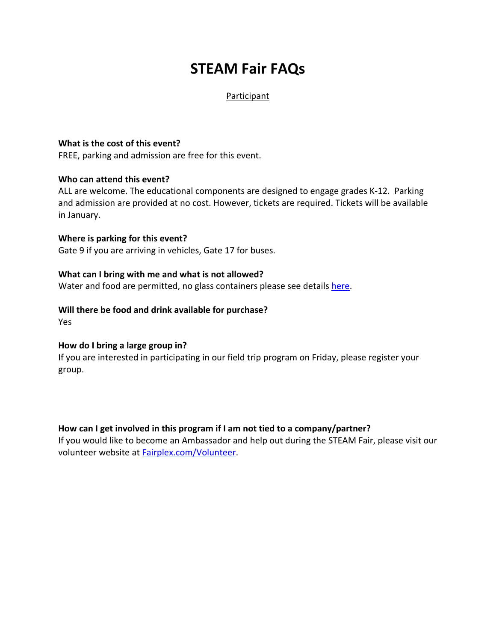# **STEAM Fair FAQs**

### Participant

### **What is the cost of this event?**

FREE, parking and admission are free for this event.

### **Who can attend this event?**

ALL are welcome. The educational components are designed to engage grades K-12. Parking and admission are provided at no cost. However, tickets are required. Tickets will be available in January.

**Where is parking for this event?**  Gate 9 if you are arriving in vehicles, Gate 17 for buses.

### **What can I bring with me and what is not allowed?**

Water and food are permitted, no glass containers please see details [here.](https://fairplex.com/codeofconduct)

### **Will there be food and drink available for purchase?**

Yes

### **How do I bring a large group in?**

If you are interested in participating in our field trip program on Friday, please register your group.

### **How can I get involved in this program if I am not tied to a company/partner?**

If you would like to become an Ambassador and help out during the STEAM Fair, please visit our volunteer website at [Fairplex.com/Volunteer.](https://fairplex.com/volunteer)